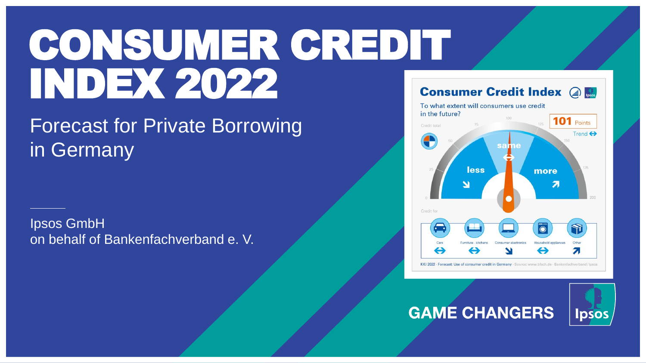# CONSUMER CREDIT INDEX 2022

# Forecast for Private Borrowing in Germany

Ipsos GmbH on behalf of Bankenfachverband e. V.



### **GAME CHANGERS**

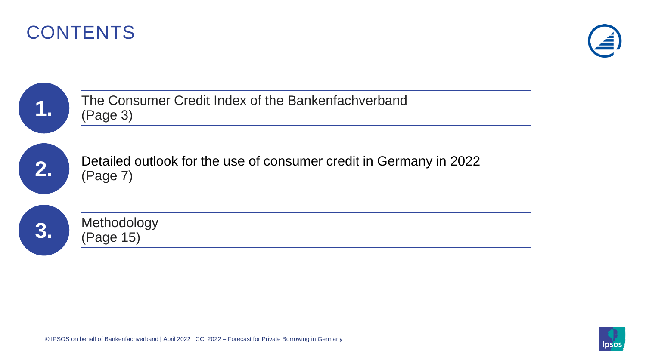



|    | The Consumer Credit Index of the Bankenfachverband<br>(Page 3)                 |
|----|--------------------------------------------------------------------------------|
| 2. | Detailed outlook for the use of consumer credit in Germany in 2022<br>(Page 7) |
| 3. | Methodology<br>(Page 15)                                                       |

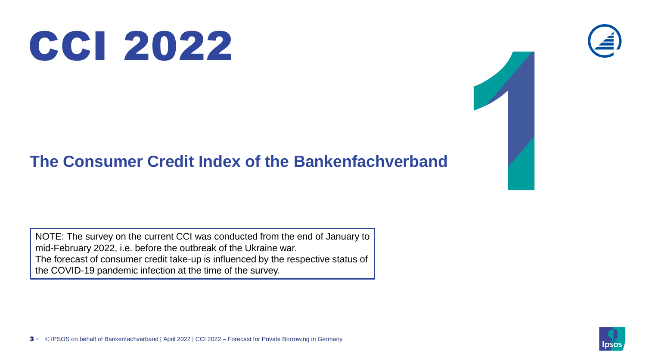

### **The Consumer Credit Index of the Bankenfachverband**

NOTE: The survey on the current CCI was conducted from the end of January to mid-February 2022, i.e. before the outbreak of the Ukraine war. The forecast of consumer credit take-up is influenced by the respective status of the COVID-19 pandemic infection at the time of the survey.



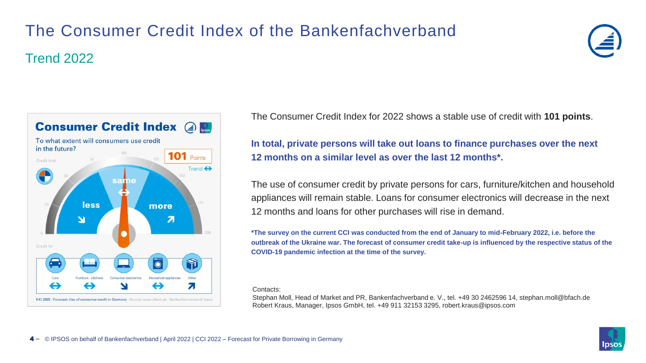## The Consumer Credit Index of the Bankenfachverband Trend 2022





The Consumer Credit Index for 2022 shows a stable use of credit with **101 points**.

**In total, private persons will take out loans to finance purchases over the next 12 months on a similar level as over the last 12 months\*.**

The use of consumer credit by private persons for cars, furniture/kitchen and household appliances will remain stable. Loans for consumer electronics will decrease in the next 12 months and loans for other purchases will rise in demand.

**\*The survey on the current CCI was conducted from the end of January to mid-February 2022, i.e. before the outbreak of the Ukraine war. The forecast of consumer credit take-up is influenced by the respective status of the COVID-19 pandemic infection at the time of the survey.**

#### Contacts:

Stephan Moll, Head of Market and PR, Bankenfachverband e. V., tel. +49 30 2462596 14, stephan.moll@bfach.de Robert Kraus, Manager, Ipsos GmbH, tel. +49 911 32153 3295, robert.kraus@ipsos.com

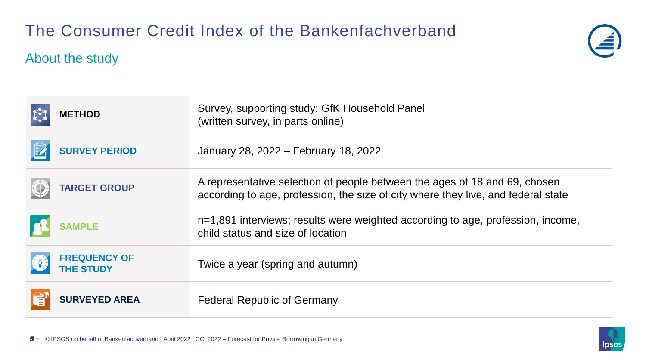### The Consumer Credit Index of the Bankenfachverband

#### About the study



| <b>METHOD</b>                                         | Survey, supporting study: GfK Household Panel<br>(written survey, in parts online)                                                                              |
|-------------------------------------------------------|-----------------------------------------------------------------------------------------------------------------------------------------------------------------|
| <b>SURVEY PERIOD</b>                                  | January 28, 2022 – February 18, 2022                                                                                                                            |
| $\bigoplus$<br><b>TARGET GROUP</b>                    | A representative selection of people between the ages of 18 and 69, chosen<br>according to age, profession, the size of city where they live, and federal state |
| <b>SAMPLE</b>                                         | n=1,891 interviews; results were weighted according to age, profession, income,<br>child status and size of location                                            |
| <b>FREQUENCY OF</b><br><b>RAS</b><br><b>THE STUDY</b> | Twice a year (spring and autumn)                                                                                                                                |
| <b>SURVEYED AREA</b>                                  | <b>Federal Republic of Germany</b>                                                                                                                              |

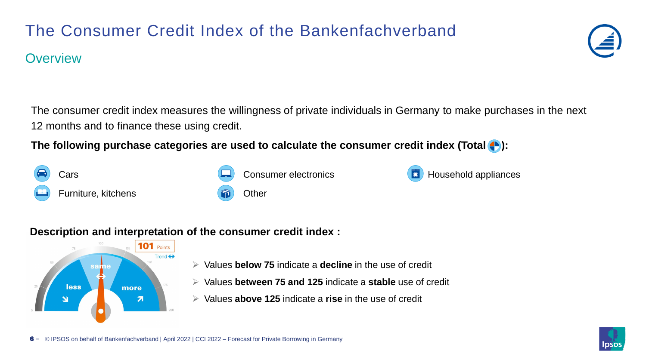### The Consumer Credit Index of the Bankenfachverband

#### **Overview**

The consumer credit index measures the willingness of private individuals in Germany to make purchases in the next 12 months and to finance these using credit.

**The following purchase categories are used to calculate the consumer credit index (Total**  $\blacktriangle$ **):** 

#### **Description and interpretation of the consumer credit index :**

Furniture, kitchens **Communist Communist Communist Communist Communist Communist Communist Communist Communist Communist Communist Communist Communist Communist Communist Communist Communist Communist Communist Communist C** 



- ➢ Values **below 75** indicate a **decline** in the use of credit
- ➢ Values **between 75 and 125** indicate a **stable** use of credit
- ➢ Values **above 125** indicate a **rise** in the use of credit





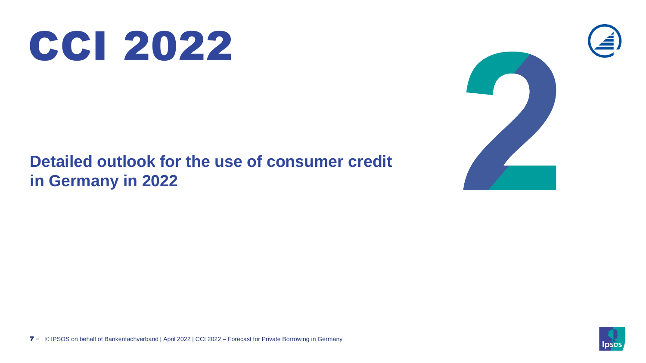

### **Detailed outlook for the use of consumer credit in Germany in 2022**



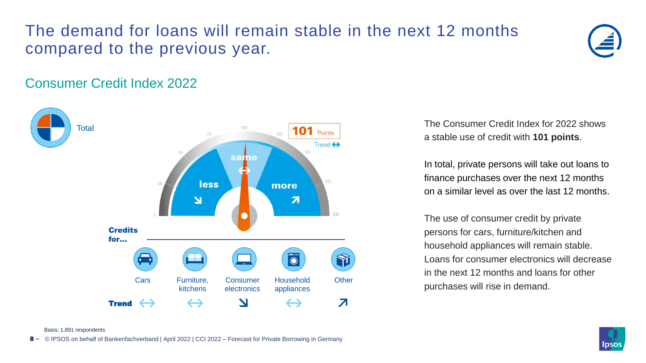### The demand for loans will remain stable in the next 12 months compared to the previous year.



#### Consumer Credit Index 2022



The Consumer Credit Index for 2022 shows a stable use of credit with **101 points**.

In total, private persons will take out loans to finance purchases over the next 12 months on a similar level as over the last 12 months.

The use of consumer credit by private persons for cars, furniture/kitchen and household appliances will remain stable. Loans for consumer electronics will decrease in the next 12 months and loans for other purchases will rise in demand.



Basis: 1,891 respondents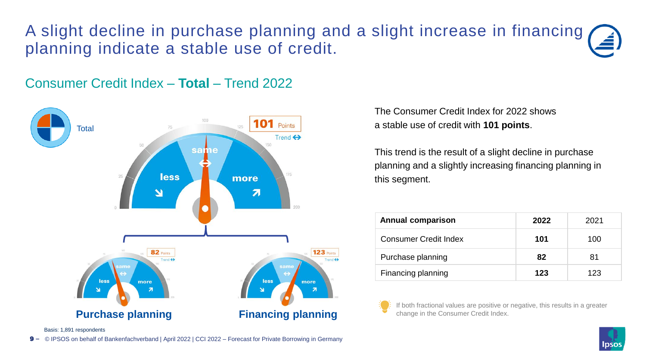### A slight decline in purchase planning and a slight increase in financing planning indicate a stable use of credit.

#### Consumer Credit Index – **Total** – Trend 2022



The Consumer Credit Index for 2022 shows a stable use of credit with **101 points**.

This trend is the result of a slight decline in purchase planning and a slightly increasing financing planning in this segment.

| <b>Annual comparison</b>     | 2022 | 2021 |
|------------------------------|------|------|
| <b>Consumer Credit Index</b> | 101  | 100  |
| Purchase planning            | 82   | 81   |
| Financing planning           | 123  | 123  |

If both fractional values are positive or negative, this results in a greater change in the Consumer Credit Index.

Basis: 1,891 respondents

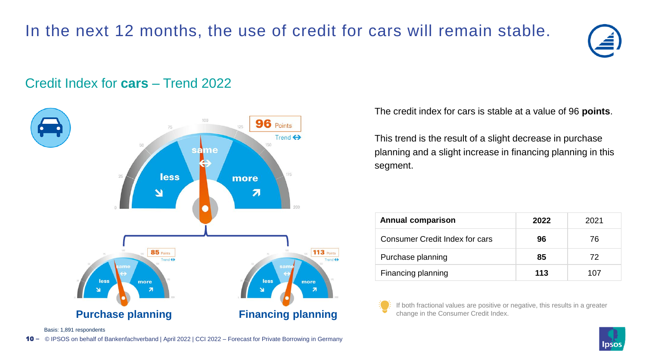### In the next 12 months, the use of credit for cars will remain stable.



#### Credit Index for **cars** – Trend 2022



The credit index for cars is stable at a value of 96 **points**.

This trend is the result of a slight decrease in purchase planning and a slight increase in financing planning in this segment.

| <b>Annual comparison</b>              | 2022 | 2021 |
|---------------------------------------|------|------|
| <b>Consumer Credit Index for cars</b> | 96   | 76   |
| Purchase planning                     | 85   | 72   |
| Financing planning                    | 113  | 107  |

If both fractional values are positive or negative, this results in a greater change in the Consumer Credit Index.

Basis: 1,891 respondents

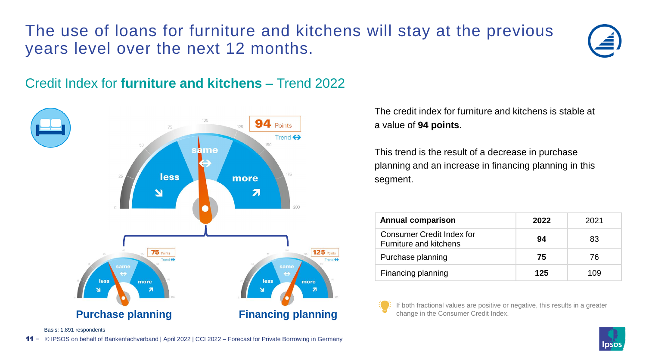### The use of loans for furniture and kitchens will stay at the previous years level over the next 12 months.



#### Credit Index for **furniture and kitchens** – Trend 2022



The credit index for furniture and kitchens is stable at a value of **94 points**.

This trend is the result of a decrease in purchase planning and an increase in financing planning in this segment.

| <b>Annual comparison</b>                                   | 2022 | 2021 |
|------------------------------------------------------------|------|------|
| Consumer Credit Index for<br><b>Furniture and kitchens</b> | 94   | 83   |
| Purchase planning                                          | 75   | 76   |
| Financing planning                                         | 125  | 109  |

If both fractional values are positive or negative, this results in a greater change in the Consumer Credit Index.

Basis: 1,891 respondents

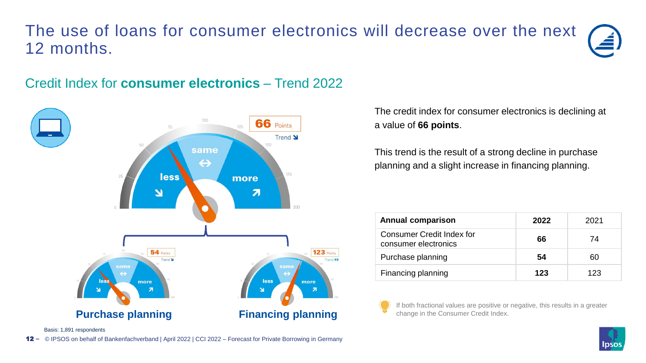### The use of loans for consumer electronics will decrease over the next 12 months.

#### Credit Index for **consumer electronics** – Trend 2022



The credit index for consumer electronics is declining at a value of **66 points**.

This trend is the result of a strong decline in purchase planning and a slight increase in financing planning.

| <b>Annual comparison</b>                                 | 2022 | 2021 |
|----------------------------------------------------------|------|------|
| <b>Consumer Credit Index for</b><br>consumer electronics | 66   | 74   |
| Purchase planning                                        | 54   | ഩ    |
| Financing planning                                       | 123  | 123  |

If both fractional values are positive or negative, this results in a greater change in the Consumer Credit Index.

Basis: 1,891 respondents

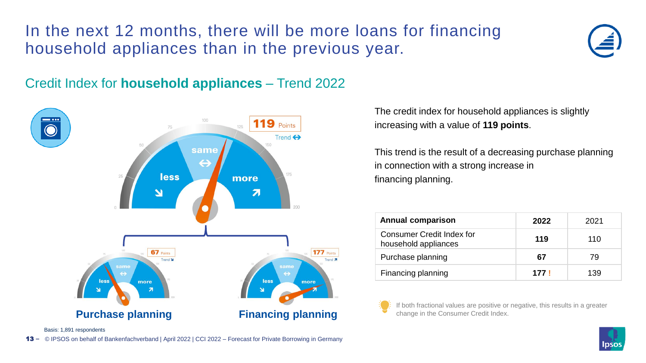### In the next 12 months, there will be more loans for financing household appliances than in the previous year.





The credit index for household appliances is slightly increasing with a value of **119 points**.

This trend is the result of a decreasing purchase planning in connection with a strong increase in financing planning.

| <b>Annual comparison</b>                          | 2022  | 2021 |
|---------------------------------------------------|-------|------|
| Consumer Credit Index for<br>household appliances | 119   | 110  |
| Purchase planning                                 | 67    | 79   |
| Financing planning                                | 177 I | 139  |

If both fractional values are positive or negative, this results in a greater change in the Consumer Credit Index.

Basis: 1,891 respondents

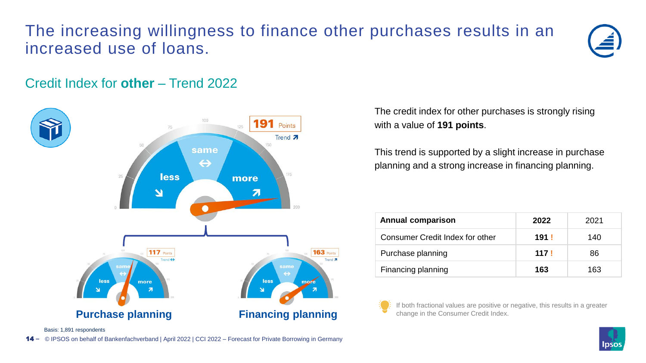### The increasing willingness to finance other purchases results in an increased use of loans.



#### Credit Index for **other** – Trend 2022



The credit index for other purchases is strongly rising with a value of **191 points**.

This trend is supported by a slight increase in purchase planning and a strong increase in financing planning.

| <b>Annual comparison</b>        | 2022 | 2021 |
|---------------------------------|------|------|
| Consumer Credit Index for other | 191! | 140  |
| Purchase planning               | 117! | 86   |
| Financing planning              | 163  | 163  |

If both fractional values are positive or negative, this results in a greater change in the Consumer Credit Index.

Basis: 1,891 respondents

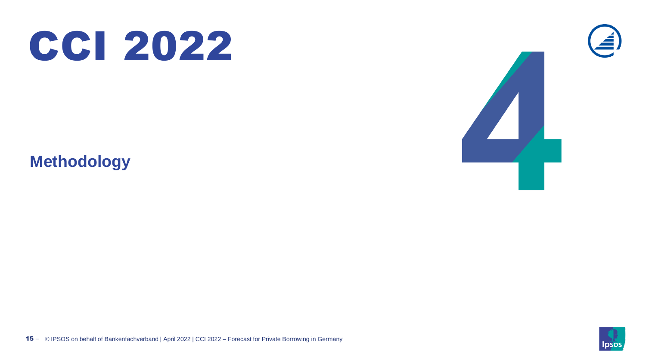

**Methodology**





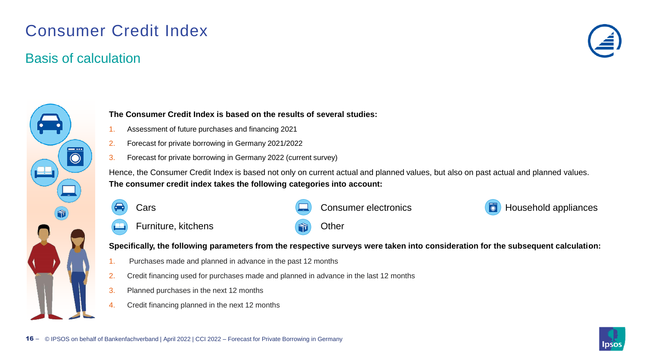### Consumer Credit Index

#### Basis of calculation





#### **The Consumer Credit Index is based on the results of several studies:**

- 1. Assessment of future purchases and financing 2021
- 2. Forecast for private borrowing in Germany 2021/2022
- 3. Forecast for private borrowing in Germany 2022 (current survey)

Hence, the Consumer Credit Index is based not only on current actual and planned values, but also on past actual and planned values. **The consumer credit index takes the following categories into account:**

Cars **Cars** Consumer electronics **Cars** Household appliances Furniture, kitchens **Communist Communist Communist Communist Communist Communist Communist Communist Communist Communist Communist Communist Communist Communist Communist Communist Communist Communist Communist Communist C** 

**Specifically, the following parameters from the respective surveys were taken into consideration for the subsequent calculation:**

- 1. Purchases made and planned in advance in the past 12 months
- 2. Credit financing used for purchases made and planned in advance in the last 12 months
- 3. Planned purchases in the next 12 months
- 4. Credit financing planned in the next 12 months

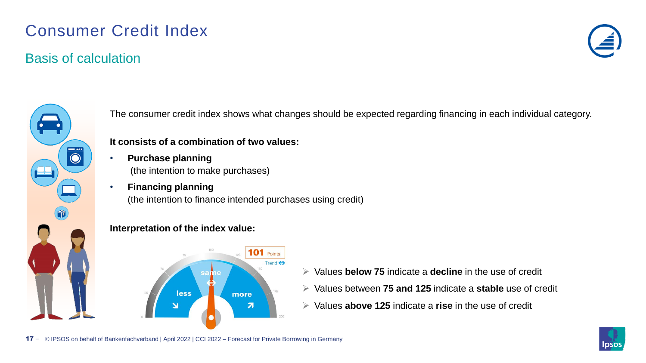### Consumer Credit Index

#### Basis of calculation



The consumer credit index shows what changes should be expected regarding financing in each individual category.

#### **It consists of a combination of two values:**

- **Purchase planning**  (the intention to make purchases)
- **Financing planning**  (the intention to finance intended purchases using credit)

#### **Interpretation of the index value:**



- ➢ Values **below 75** indicate a **decline** in the use of credit
- ➢ Values between **75 and 125** indicate a **stable** use of credit
- ➢ Values **above 125** indicate a **rise** in the use of credit

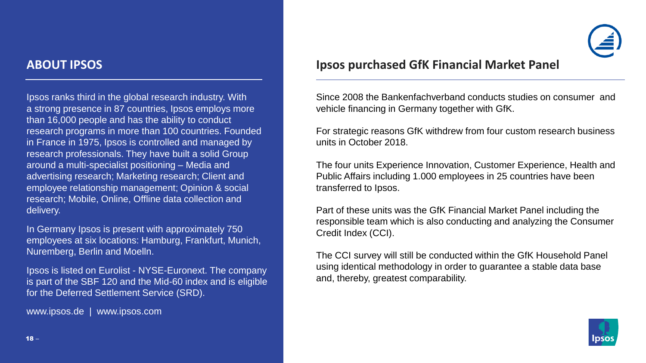Ipsos ranks third in the global research industry. With a strong presence in 87 countries, Ipsos employs more than 16,000 people and has the ability to conduct research programs in more than 100 countries. Founded in France in 1975, Ipsos is controlled and managed by research professionals. They have built a solid Group around a multi-specialist positioning – Media and advertising research; Marketing research; Client and employee relationship management; Opinion & social research; Mobile, Online, Offline data collection and delivery.

In Germany Ipsos is present with approximately 750 employees at six locations: Hamburg, Frankfurt, Munich, Nuremberg, Berlin and Moelln.

Ipsos is listed on Eurolist - NYSE-Euronext. The company is part of the SBF 120 and the Mid-60 index and is eligible for the Deferred Settlement Service (SRD).

 $\mathcal{L} = \mathcal{L} = \mathcal{L} = \mathcal{L} = \mathcal{L} = \mathcal{L} = \mathcal{L} = \mathcal{L} = \mathcal{L} = \mathcal{L} = \mathcal{L} = \mathcal{L} = \mathcal{L} = \mathcal{L} = \mathcal{L} = \mathcal{L} = \mathcal{L} = \mathcal{L} = \mathcal{L} = \mathcal{L} = \mathcal{L} = \mathcal{L} = \mathcal{L} = \mathcal{L} = \mathcal{L} = \mathcal{L} = \mathcal{L} = \mathcal{L} = \mathcal{L} = \mathcal{L} = \mathcal{L} = \mathcal$ 

www.ipsos.de | www.ipsos.com

#### **ABOUT IPSOS Ipsos purchased GfK Financial Market Panel**

Since 2008 the Bankenfachverband conducts studies on consumer and vehicle financing in Germany together with GfK.

For strategic reasons GfK withdrew from four custom research business units in October 2018.

The four units Experience Innovation, Customer Experience, Health and Public Affairs including 1.000 employees in 25 countries have been transferred to Ipsos.

Part of these units was the GfK Financial Market Panel including the responsible team which is also conducting and analyzing the Consumer Credit Index (CCI).

The CCI survey will still be conducted within the GfK Household Panel using identical methodology in order to guarantee a stable data base and, thereby, greatest comparability.